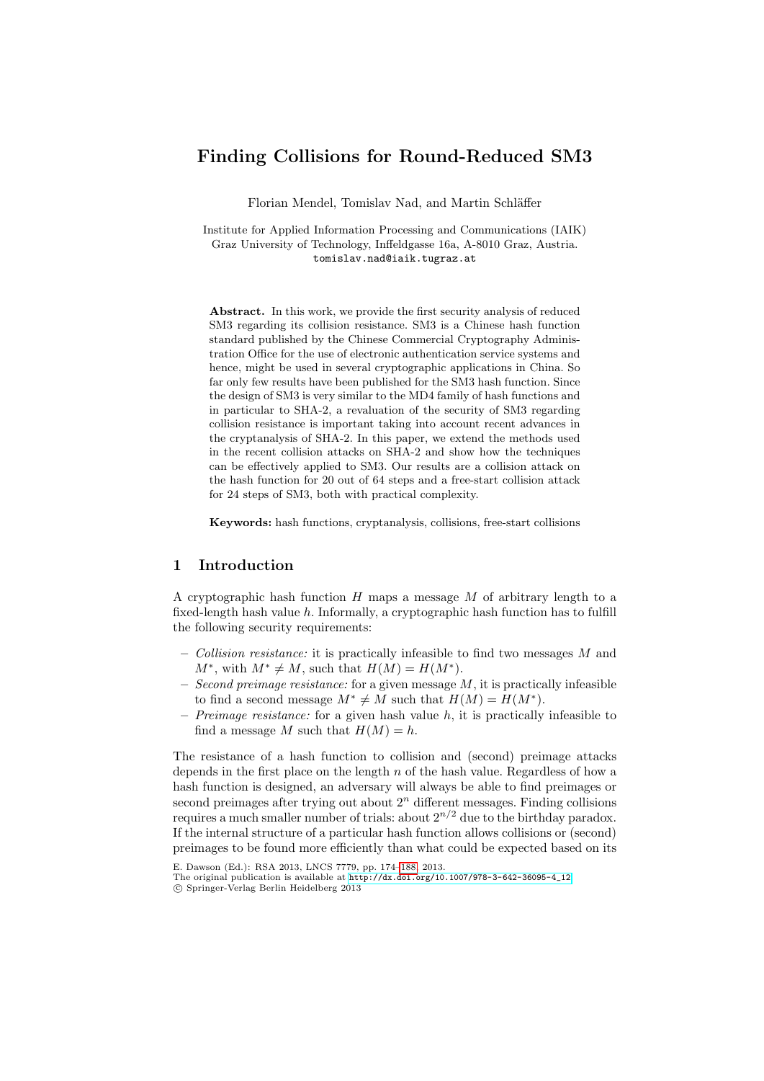# Finding Collisions for Round-Reduced SM3

Florian Mendel, Tomislav Nad, and Martin Schläffer

Institute for Applied Information Processing and Communications (IAIK) Graz University of Technology, Inffeldgasse 16a, A-8010 Graz, Austria. tomislav.nad@iaik.tugraz.at

Abstract. In this work, we provide the first security analysis of reduced SM3 regarding its collision resistance. SM3 is a Chinese hash function standard published by the Chinese Commercial Cryptography Administration Office for the use of electronic authentication service systems and hence, might be used in several cryptographic applications in China. So far only few results have been published for the SM3 hash function. Since the design of SM3 is very similar to the MD4 family of hash functions and in particular to SHA-2, a revaluation of the security of SM3 regarding collision resistance is important taking into account recent advances in the cryptanalysis of SHA-2. In this paper, we extend the methods used in the recent collision attacks on SHA-2 and show how the techniques can be effectively applied to SM3. Our results are a collision attack on the hash function for 20 out of 64 steps and a free-start collision attack for 24 steps of SM3, both with practical complexity.

Keywords: hash functions, cryptanalysis, collisions, free-start collisions

## 1 Introduction

A cryptographic hash function  $H$  maps a message  $M$  of arbitrary length to a fixed-length hash value  $h$ . Informally, a cryptographic hash function has to fulfill the following security requirements:

- Collision resistance: it is practically infeasible to find two messages M and  $M^*$ , with  $M^* \neq M$ , such that  $H(M) = H(M^*)$ .
- Second preimage resistance: for a given message  $M$ , it is practically infeasible to find a second message  $M^* \neq M$  such that  $H(M) = H(M^*)$ .
- $-$  Preimage resistance: for a given hash value h, it is practically infeasible to find a message M such that  $H(M) = h$ .

The resistance of a hash function to collision and (second) preimage attacks depends in the first place on the length  $n$  of the hash value. Regardless of how a hash func[tion is designed, an adversary will always](http://dx.doi.org/10.1007/978-3-642-36095-4_12) be able to find preimages or second preimages after trying out about  $2<sup>n</sup>$  different messages. Finding collisions requires a much smaller number of trials: about  $2^{n/2}$  due to the birthday paradox. If the internal structure of a particular hash function allows collisions or (second) preimages to be found more efficiently than what could be expected based on its

E. Dawson (Ed.): RSA 2013, LNCS 7779, pp. 174–188, 2013.

The original publication is available at http://dx.doi.org/10.1007/978-3-642-36095-4\_12 c Springer-Verlag Berlin Heidelberg 2013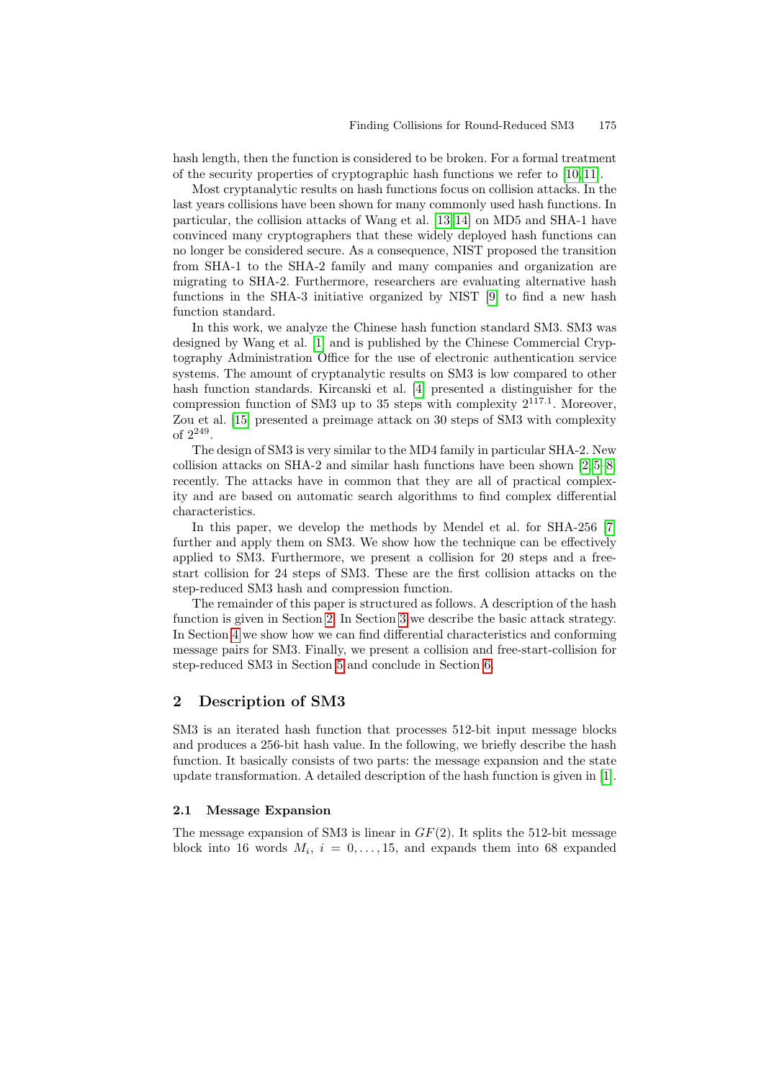hash length, then the function is considered to be broken. For a formal treatment of the security properties of cryptographic hash functions we refer to [10, 11].

Most cryptanalytic results on hash functions focus on collision attacks. In the last years collisions have been show[n f](#page-10-1)or many commonly used hash functions. In particular, the collision attacks of Wang et al. [13, 14] on MD5 and SHA-1 have convinced many cryptographers that these widely deployed hash functions can no l[on](#page-10-2)ger be considered secure. As a consequence, NIST proposed the transition from SHA-1 to the SHA-2 family and many companies and organization are migrating to SHA-2. Furthermore, researchers are evaluating alternative hash functions in the SH[A-3](#page-10-3) initiative organized by NIST [9] to find a new hash function standard.

In this work, we analyze the Chinese hash function standard SM3. SM3 was designed by Wang et al. [1] and is published by the Chinese Commercial Cryptography Administration Office for the use of electronic authentication service systems. The amount of cryptanalytic results on S[M3](#page-10-4) [is](#page-10-5) [lo](#page-10-6)w compared to other hash function standards. Kircanski et al. [4] presented a distinguisher for the compression function of SM3 up to 35 steps with complexity  $2^{117.1}$ . Moreover, Zou et al. [15] presented a preimage attack on 30 steps of SM3 with complexity of 2<sup>249</sup> .

The design of SM3 is very similar to the MD4 family i[n p](#page-10-7)articular SHA-2. New collision attacks on SHA-2 and similar hash functions have been shown [2, 5–8] recently. The attacks have in common that they are all of practical complexity and are based on automatic search algorithms to find complex differential characteristics.

In [th](#page-1-0)is paper, [we](#page-3-0) develop the methods by Mendel et al. for SHA-256 [7] further and apply them on SM3. We show how the technique can be effectively applied to SM3. Furthermore, we present a collision for 20 steps and a freestart co[lli](#page-7-0)sion for 24 steps of SM[3.](#page-9-0) These are the first collision attacks on the step-reduced SM3 hash and compression function.

<span id="page-1-0"></span>The remainder of this paper is structured as follows. A description of the hash function is given in Section 2. In Section 3 we describe the basic attack strategy. In Section 4 we show how we can find differential characteristics and conforming message pairs for SM3. Finally, we present a collision and free-start-collision for step-reduced SM3 in Section 5 and conclude in Section 6.

## 2 Description of SM3

SM3 is an iterated hash function that processes 512-bit input message blocks and produces a 256-bit hash value. In the following, we briefly describe the hash function. It basically consists of two parts: the message expansion and the state update transformation. A detailed description of the hash function is given in [1].

#### 2.1 Message Expansion

The message expansion of SM3 is linear in  $GF(2)$ . It splits the 512-bit message block into 16 words  $M_i$ ,  $i = 0, \ldots, 15$ , and expands them into 68 expanded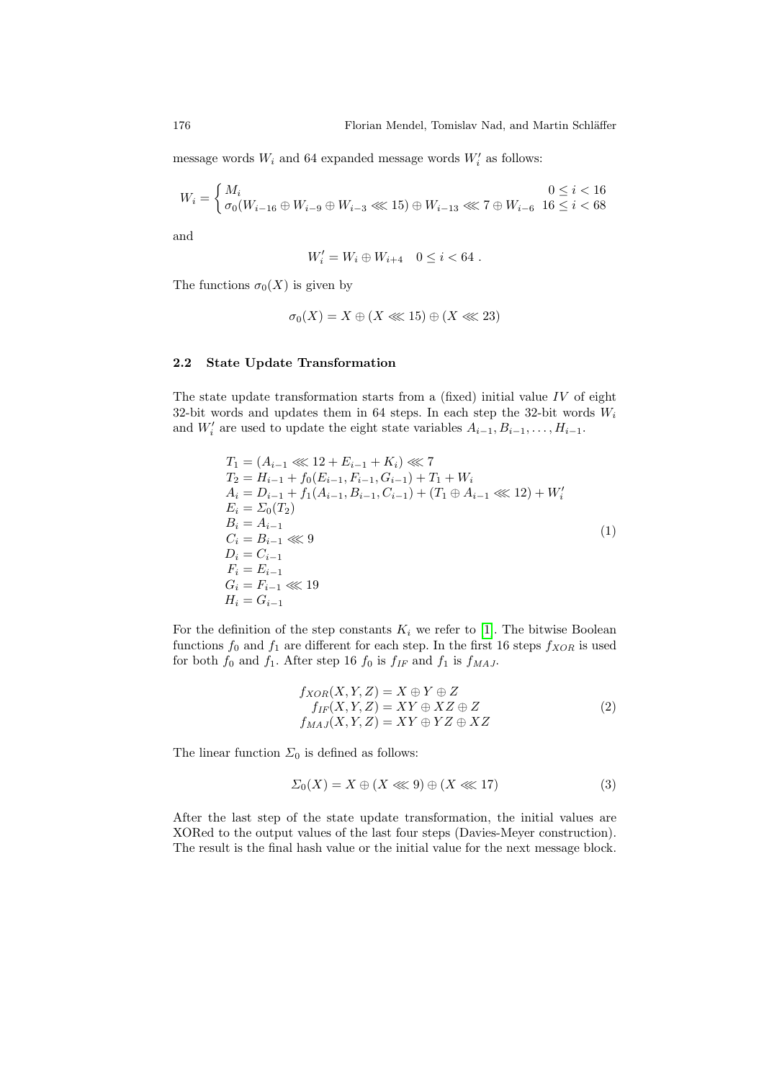message words  $W_i$  and 64 expanded message words  $W'_i$  as follows:

$$
W_i = \begin{cases} M_i & 0 \le i < 16 \\ \sigma_0(W_{i-16} \oplus W_{i-9} \oplus W_{i-3} \lll 15) \oplus W_{i-13} \lll 7 \oplus W_{i-6} & 16 \le i < 68 \end{cases}
$$

and

$$
W_i' = W_i \oplus W_{i+4} \quad 0 \le i < 64 \; .
$$

The functions  $\sigma_0(X)$  is given by

$$
\sigma_0(X) = X \oplus (X \lll 15) \oplus (X \lll 23)
$$

#### 2.2 State Update Transformation

The state update transformation starts from a (fixed) initial value  $IV$  of eight 32-bit words and updates them in 64 steps. In each step the 32-bit words  $W_i$ and  $W'_i$  are used to update the eight state variables  $A_{i-1}, B_{i-1}, \ldots, H_{i-1}$ .

$$
T_1 = (A_{i-1} \lll 12 + E_{i-1} + K_i) \lll 7
$$
  
\n
$$
T_2 = H_{i-1} + f_0(E_{i-1}, F_{i-1}, G_{i-1}) + T_1 + W_i
$$
  
\n
$$
A_i = D_{i-1} + f_1(A_{i-1}, B_{i-1}, C_{i-1}) + (T_1 \oplus A_{i-1} \lll 12) + W'_i
$$
  
\n
$$
E_i = \Sigma_0(T_2)
$$
  
\n
$$
B_i = A_{i-1}
$$
  
\n
$$
C_i = B_{i-1} \lll 9
$$
  
\n
$$
D_i = C_{i-1}
$$
  
\n
$$
F_i = E_{i-1}
$$
  
\n
$$
G_i = F_{i-1} \lll 19
$$
  
\n
$$
H_i = G_{i-1}
$$
 (1)

For the definition of the step constants  $K_i$  we refer to [1]. The bitwise Boolean functions  $f_0$  and  $f_1$  are different for each step. In the first 16 steps  $f_{XOR}$  is used for both  $f_0$  and  $f_1$ . After step 16  $f_0$  is  $f_{IF}$  and  $f_1$  is  $f_{MAJ}$ .

$$
f_{XOR}(X, Y, Z) = X \oplus Y \oplus Z
$$
  
\n
$$
f_{IF}(X, Y, Z) = XY \oplus XZ \oplus Z
$$
  
\n
$$
f_{MAJ}(X, Y, Z) = XY \oplus YZ \oplus XZ
$$
  
\n(2)

The linear function  $\Sigma_0$  is defined as follows:

$$
\Sigma_0(X) = X \oplus (X \lll 9) \oplus (X \lll 17) \tag{3}
$$

After the last step of the state update transformation, the initial values are XORed to the output values of the last four steps (Davies-Meyer construction). The result is the final hash value or the initial value for the next message block.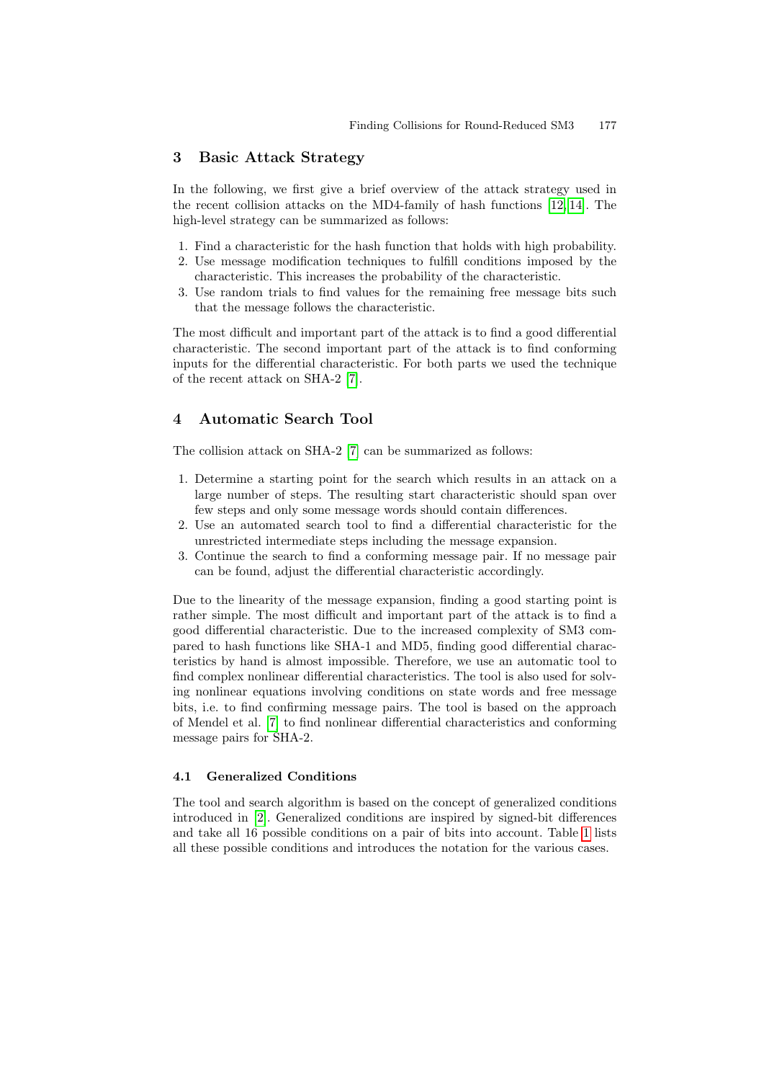## <span id="page-3-0"></span>3 Basic Attack Strategy

In the following, we first give a brief overview of the attack strategy used in the recent collision attacks on the MD4-family of hash functions [12, 14]. The high-level strategy can be summarized as follows:

- 1. Find a characteristic for the hash function that holds with high probability.
- 2. Use message modification techniques to fulfill conditions imposed by the characteristic. This increases the probability of the characteristic.
- 3. Use r[an](#page-10-7)dom trials to find values for the remaining free message bits such that the message follows the characteristic.

<span id="page-3-1"></span>The most difficult and important part of the attack is to find a good differential characteristic. The second important part of the attack is to find conforming inputs for [th](#page-10-7)e differential characteristic. For both parts we used the technique of the recent attack on SHA-2 [7].

## 4 Automatic Search Tool

The collision attack on SHA-2 [7] can be summarized as follows:

- 1. Determine a starting point for the search which results in an attack on a large number of steps. The resulting start characteristic should span over few steps and only some message words should contain differences.
- 2. Use an automated search tool to find a differential characteristic for the unrestricted intermediate steps including the message expansion.
- 3. Continue the search to find a conforming message pair. If no message pair can be found, adjust the differential characteristic accordingly.

Due to the linearity of the message expansion, finding a good starting point is rather simple. The most difficult and important part of the attack is to find a good differential characteristic. Due to the increased complexity of SM3 compared to hash functions like SHA-1 and MD5, finding good differential characteristics by hand is almost impossible. Therefore, we use an automatic tool to find complex nonlinear differential characteristics. The tool is also used for solving nonlinear equations involving conditions on state words and free message bits, i.e. to find confirming message pairs. The tool is based on the approach of Mendel et al. [7] to find nonlinear differential characteristics and conforming message pairs for SHA-2.

#### 4.1 Generalized Conditions

The tool and search algorithm is based on the concept of generalized conditions introduced in [2]. Generalized conditions are inspired by signed-bit differences and take all 16 possible conditions on a pair of bits into account. Table 1 lists all these possible conditions and introduces the notation for the various cases.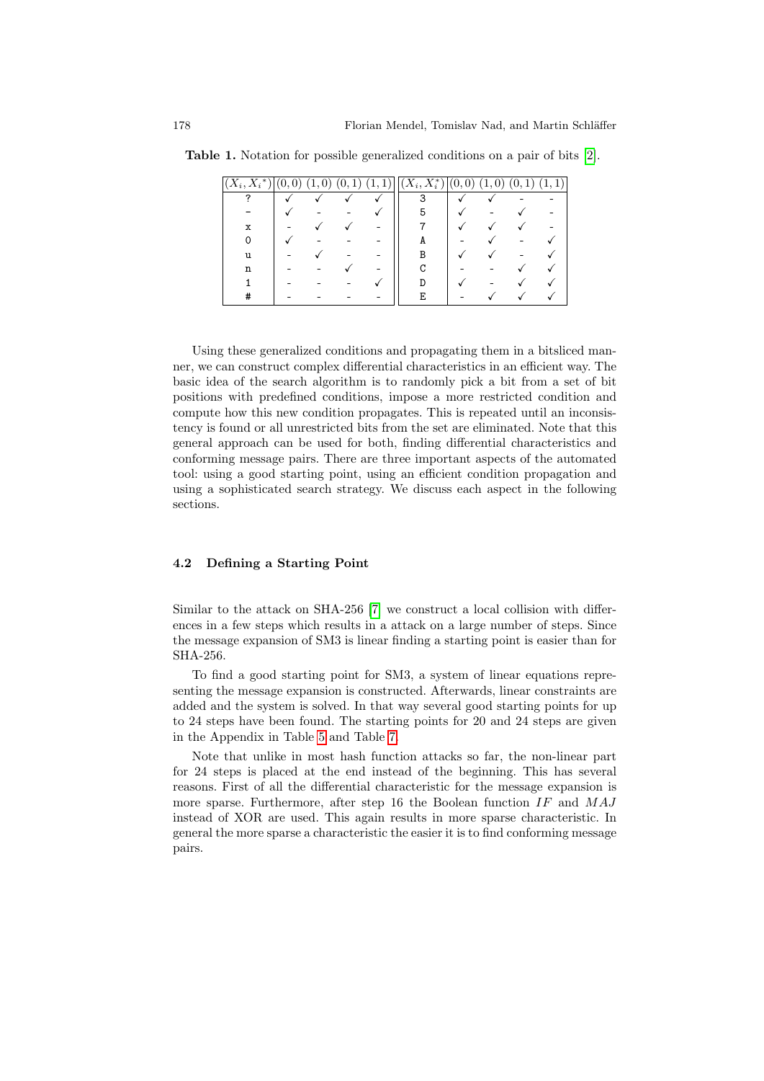| $(X_i,\overline{X_i^*})$ | (0)<br>$\overline{0}$ | $\left 0\right\rangle$ | (0, 1) | $\overline{1,1})$ | $\overline{(X_i,X^*_i)}$ | (0,<br>$\left( 0\right)$ | $\boldsymbol{0}$<br>1. | 1<br>(0,<br>ᅩ | (1,1) |
|--------------------------|-----------------------|------------------------|--------|-------------------|--------------------------|--------------------------|------------------------|---------------|-------|
| ິ                        |                       |                        |        |                   | 3                        |                          |                        |               |       |
|                          |                       |                        |        |                   | 5                        |                          |                        |               |       |
| х                        |                       |                        |        |                   |                          |                          |                        |               |       |
|                          |                       |                        |        |                   | A                        |                          |                        |               |       |
| u                        |                       |                        |        |                   |                          |                          |                        |               |       |
| n                        |                       |                        |        |                   |                          |                          |                        |               |       |
|                          |                       |                        |        |                   |                          |                          |                        |               |       |
| ₮                        |                       |                        |        |                   |                          |                          |                        |               |       |

<span id="page-4-0"></span>Table 1. Notation for possible generalized conditions on a pair of bits [2].

Using these generalized conditions and propagating them in a bitsliced manner, we can construct complex differential characteristics in an efficient way. The basic idea of the search algorithm is to randomly pick a bit from a set of bit positions with predefined conditions, impose a more restricted condition and compute how this new condition propagates. This is repeated until an inconsistency is found or all unrestricted bits from the set are eliminated. Note that this general approach can be used for both, finding differential characteristics and conforming message pairs. There are three important aspects of the automated tool: using a good starting point, using an efficient condition propagation and using a sophisticated search strategy. We discuss each aspect in the following sections.

### 4.2 Defining a Starting Point

Similar to the attack on SHA-256 [7] we construct a local collision with differences in a few steps which results in a attack on a large number of steps. Since the message expa[ns](#page-13-0)ion of SM3 is linear finding a starting point is easier than for SH[A-2](#page-11-0)56.

To find a good starting point for SM3, a system of linear equations representing the message expansion is constructed. Afterwards, linear constraints are added and the system is solved. In that way several good starting points for up to 24 steps have been found. The starting points for 20 and 24 steps are given in the Appendix in Table 5 and Table 7.

Note that unlike in most hash function attacks so far, the non-linear part for 24 steps is placed at the end instead of the beginning. This has several reasons. First of all the differential characteristic for the message expansion is more sparse. Furthermore, after step 16 the Boolean function  $IF$  and  $MAJ$ instead of XOR are used. This again results in more sparse characteristic. In general the more sparse a characteristic the easier it is to find conforming message pairs.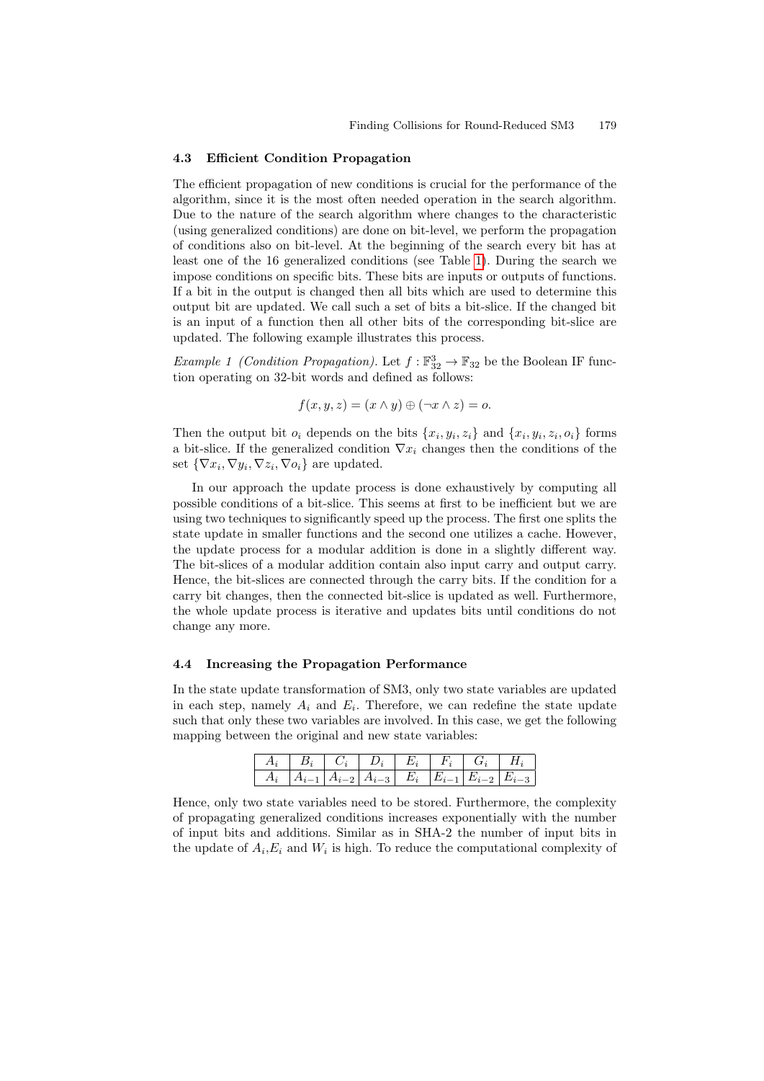#### <span id="page-5-0"></span>4.3 Efficient Condition Propagation

The efficient propagation of new [co](#page-4-0)nditions is crucial for the performance of the algorithm, since it is the most often needed operation in the search algorithm. Due to the nature of the search algorithm where changes to the characteristic (using generalized conditions) are done on bit-level, we perform the propagation of conditions also on bit-level. At the beginning of the search every bit has at least one of the 16 generalized conditions (see Table 1). During the search we impose conditions on specific bits. These bits are inputs or outputs of functions. If a bit in the output is changed then all bits which are used to determine this output bit are updated. We call such a set of bits a bit-slice. If the changed bit is an input of a function then all other bits of the corresponding bit-slice are updated. The following example illustrates this process.

Example 1 (Condition Propagation). Let  $f : \mathbb{F}^3_{32} \to \mathbb{F}_{32}$  be the Boolean IF function operating on 32-bit words and defined as follows:

$$
f(x, y, z) = (x \wedge y) \oplus (\neg x \wedge z) = o.
$$

Then the output bit  $o_i$  depends on the bits  $\{x_i, y_i, z_i\}$  and  $\{x_i, y_i, z_i, o_i\}$  forms a bit-slice. If the generalized condition  $\nabla x_i$  changes then the conditions of the set  $\{\nabla x_i, \nabla y_i, \nabla z_i, \nabla o_i\}$  are updated.

In our approach the update process is done exhaustively by computing all possible conditions of a bit-slice. This seems at first to be inefficient but we are using two techniques to significantly speed up the process. The first one splits the state update in smaller functions and the second one utilizes a cache. However, the update process for a modular addition is done in a slightly different way. The bit-slices of a modular addition contain also input carry and output carry. Hence, the bit-slices are connected through the carry bits. If the condition for a carry bit changes, then the connected bit-slice is updated as well. Furthermore, the whole update process is iterative and updates bits until conditions do not change any more.

#### 4.4 Increasing the Propagation Performance

In the state update transformation of SM3, only two state variables are updated in each step, namely  $A_i$  and  $E_i$ . Therefore, we can redefine the state update such that only these two variables are involved. In this case, we get the following mapping between the original and new state variables:

|  | $\begin{array}{ c c c c c c } \hline A_i & A_{i-1} & A_{i-2} & A_{i-3} & E_i & E_{i-1} & E_{i-2} & E_{i-3} \ \hline \end{array}$ |  |  |
|--|----------------------------------------------------------------------------------------------------------------------------------|--|--|

Hence, only two state variables need to be stored. Furthermore, the complexity of propagating generalized conditions increases exponentially with the number of input bits and additions. Similar as in SHA-2 the number of input bits in the update of  $A_i, E_i$  and  $W_i$  is high. To reduce the computational complexity of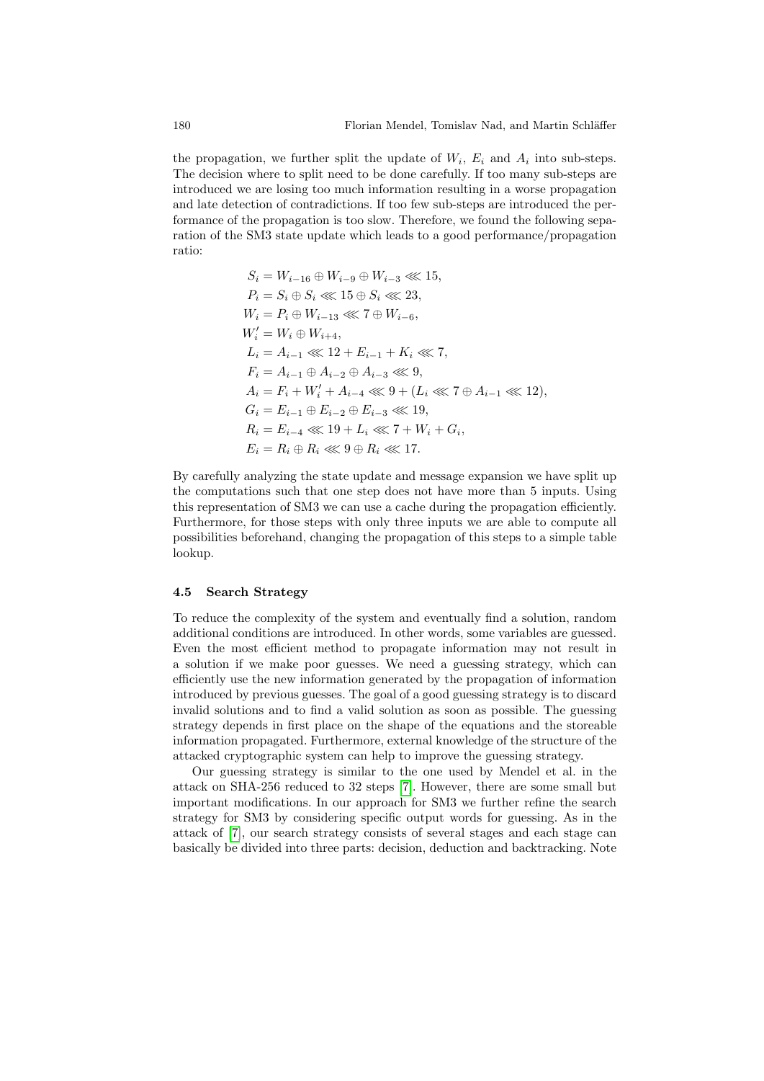the propagation, we further split the update of  $W_i$ ,  $E_i$  and  $A_i$  into sub-steps. The decision where to split need to be done carefully. If too many sub-steps are introduced we are losing too much information resulting in a worse propagation and late detection of contradictions. If too few sub-steps are introduced the performance of the propagation is too slow. Therefore, we found the following separation of the SM3 state update which leads to a good performance/propagation ratio:

$$
S_i = W_{i-16} \oplus W_{i-9} \oplus W_{i-3} \lll 15,
$$
  
\n
$$
P_i = S_i \oplus S_i \lll 15 \oplus S_i \lll 23,
$$
  
\n
$$
W_i = P_i \oplus W_{i-13} \lll 7 \oplus W_{i-6},
$$
  
\n
$$
W'_i = W_i \oplus W_{i+4},
$$
  
\n
$$
L_i = A_{i-1} \lll 12 + E_{i-1} + K_i \lll 7,
$$
  
\n
$$
F_i = A_{i-1} \oplus A_{i-2} \oplus A_{i-3} \lll 9,
$$
  
\n
$$
A_i = F_i + W'_i + A_{i-4} \lll 9 + (L_i \lll 7 \oplus A_{i-1} \lll 12),
$$
  
\n
$$
G_i = E_{i-1} \oplus E_{i-2} \oplus E_{i-3} \lll 19,
$$
  
\n
$$
R_i = E_{i-4} \lll 19 + L_i \lll 7 + W_i + G_i,
$$
  
\n
$$
E_i = R_i \oplus R_i \lll 9 \oplus R_i \lll 17.
$$

By carefully analyzing the state update and message expansion we have split up the computations such that one step does not have more than 5 inputs. Using this representation of SM3 we can use a cache during the propagation efficiently. Furthermore, for those steps with only three inputs we are able to compute all possibilities beforehand, changing the propagation of this steps to a simple table lookup.

#### 4.5 Search Strategy

To reduce the complexity of the system and eventually find a solution, random additional conditions are introduced. In other words, some variables are guessed. Even the most efficient method to propagate information may not result in a solution if we make poor guesses. We need a guessing strategy, which can efficiently use the new information generated by the propagation of information introduced by previ[ou](#page-10-7)s guesses. The goal of a good guessing strategy is to discard invalid solutions and to find a valid solution as soon as possible. The guessing strategy depends in first place on the shape of the equations and the storeable information propagated. Furthermore, external knowledge of the structure of the attacked cryptographic system can help to improve the guessing strategy.

Our guessing strategy is similar to the one used by Mendel et al. in the attack on SHA-256 reduced to 32 steps [7]. However, there are some small but important modifications. In our approach for SM3 we further refine the search strategy for SM3 by considering specific output words for guessing. As in the attack of [7], our search strategy consists of several stages and each stage can basically be divided into three parts: decision, deduction and backtracking. Note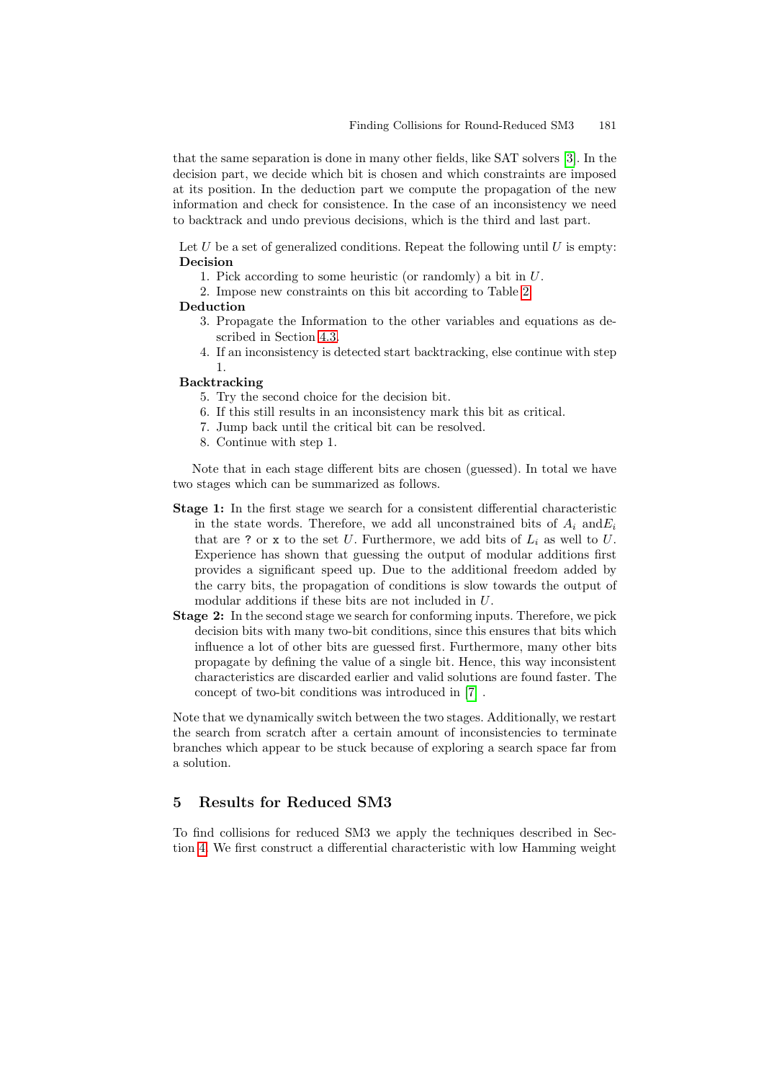that the same separation is done in many other fields, like SAT solvers [3]. In the decision part, we decide which bit is chosen and which constraints are imposed at its position. In the deduction part we compute the propagation of the new information and check for consistence. I[n t](#page-8-0)he case of an inconsistency we need to backtrack and undo previous decisions, which is the third and last part.

Let [U](#page-5-0) be a set of generalized conditions. Repeat the following until U is empty: Decision

- 1. Pick according to some heuristic (or randomly) a bit in U.
- 2. Impose new constraints on this bit according to Table 2.

#### Deduction

- 3. Propagate the Information to the other variables and equations as described in Section 4.3.
- 4. If an inconsistency is detected start backtracking, else continue with step 1.

## Backtracking

- 5. Try the second choice for the decision bit.
- 6. If this still results in an inconsistency mark this bit as critical.
- 7. Jump back until the critical bit can be resolved.
- 8. Continue with step 1.

Note that in each stage different bits are chosen (guessed). In total we have two stages which can be summarized as follows.

- Stage 1: In the first stage we search for a consistent differential characteristic in the state words. Therefore, we add all unconstrained bits of  $A_i$  and  $E_i$ that are ? or x to the set U. Furthermore, we add bits of  $L_i$  as well to U. Experience has shown that guessing the output of modular additions first provides a significant speed up. Due to the additional freedom added by the carry bits, the propagation of conditions is slow towards the output of modular additions if these [bit](#page-10-7)s are not included in U.
- Stage 2: In the second stage we search for conforming inputs. Therefore, we pick decision bits with many two-bit conditions, since this ensures that bits which influence a lot of other bits are guessed first. Furthermore, many other bits propagate by defining the value of a single bit. Hence, this way inconsistent characteristics are discarded earlier and valid solutions are found faster. The concept of two-bit conditions was introduced in [7] .

<span id="page-7-0"></span>Note that we dynamically switch between the two stages. Additionally, we restart the search from scratch after a certain amount of inconsistencies to terminate branches which appear to be stuck because of exploring a search space far from a solution.

## 5 Results for Reduced SM3

To find collisions for reduced SM3 we apply the techniques described in Section 4. We first construct a differential characteristic with low Hamming weight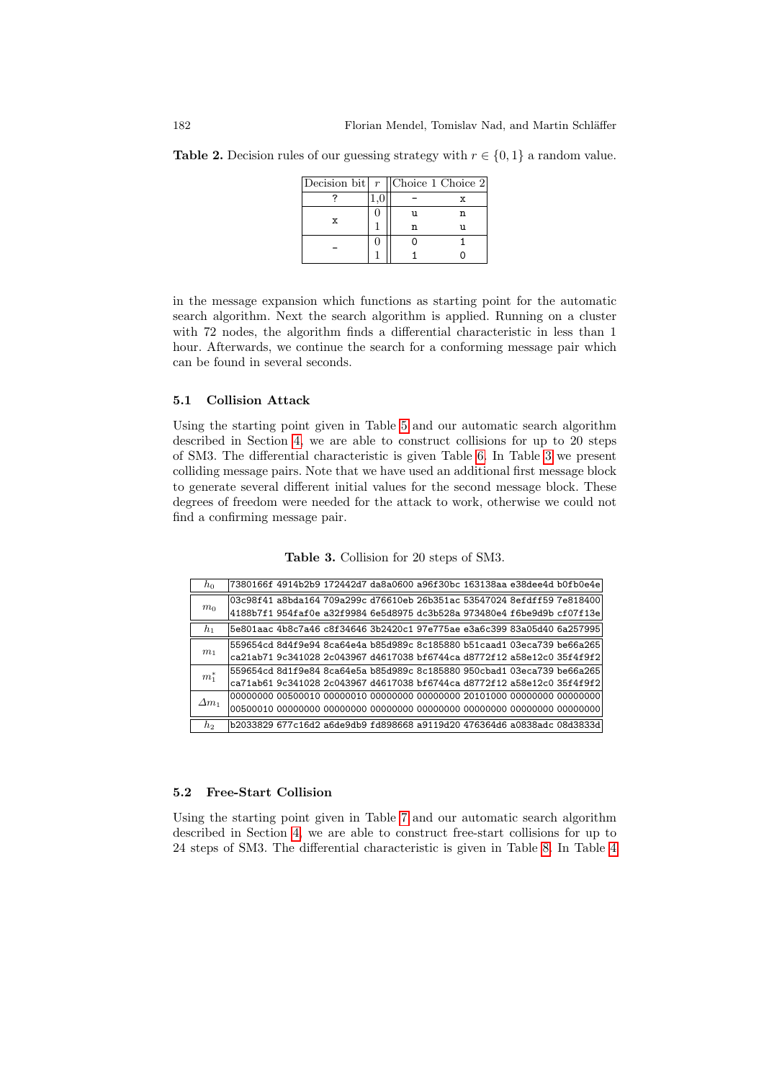<span id="page-8-0"></span>Table 2. Decision rules of our guessing strategy with  $r \in \{0, 1\}$  a random value.

| Decision bit $r$   Choice 1 Choice 2 |    |    |
|--------------------------------------|----|----|
|                                      |    |    |
| X                                    | וו | 'n |
|                                      |    |    |
|                                      |    |    |
|                                      |    |    |

in the message expansion which functions as starting point for the automatic search algorithm. Next the search algorithm is applied. Running on a cluster with 72 nodes, the [a](#page-11-0)lgorithm finds a differential characteristic in less than 1 [ho](#page-3-1)ur. Afterwards, we continue the search for a conforming message pair which can be found in several seconds.

## 5.1 Collision Attack

Using the starting point given in Table 5 and our automatic search algorithm described in Section 4, we are able to construct collisions for up to 20 steps of SM3. The differential characteristic is given Table 6. In Table 3 we present colliding message pairs. Note that we have used an additional first message block to generate several different initial values for the second message block. These degrees of freedom were needed for the attack to work, otherwise we could not find a confirming message pair.

Table 3. Collision for 20 steps of SM3.

| $h_0$          | 7380166f 4914b2b9 172442d7 da8a0600 a96f30bc 163138aa e38dee4d b0fb0e4e |  |  |  |
|----------------|-------------------------------------------------------------------------|--|--|--|
|                | 03c98f41 a8bda164 709a299c d76610eb 26b351ac 53547024 8efdff59 7e818400 |  |  |  |
| m <sub>0</sub> | 4188b7f1 954faf0e a32f9984 6e5d8975 dc3b528a 973480e4 f6be9d9b cf07f13e |  |  |  |
| $h_1$          | 5e801aac 4b8c7a46 c8f34646 3b2420c1 97e775ae e3a6c399 83a05d40 6a257995 |  |  |  |
|                | 559654cd 8d4f9e94 8ca64e4a b85d989c 8c185880 b51caad1 03eca739 be66a265 |  |  |  |
| m <sub>1</sub> | ca21ab71 9c341028 2c043967 d4617038 bf6744ca d8772f12 a58e12c0 35f4f9f2 |  |  |  |
| $m_1^*$        | 559654cd 8d1f9e84 8ca64e5a b85d989c 8c185880 950cbad1 03eca739 be66a265 |  |  |  |
|                | ca71ab61 9c341028 2c043967 d4617038 bf6744ca d8772f12 a58e12c0 35f4f9f2 |  |  |  |
| $\Delta m_1$   |                                                                         |  |  |  |
|                |                                                                         |  |  |  |
| h2             | b2033829 677c16d2 a6de9db9 fd898668 a9119d20 476364d6 a0838adc 08d3833d |  |  |  |

### 5.2 Free-Start Collision

Using the starting point given in Table 7 and our automatic search algorithm described in Section 4, we are able to construct free-start collisions for up to 24 steps of SM3. The differential characteristic is given in Table 8. In Table 4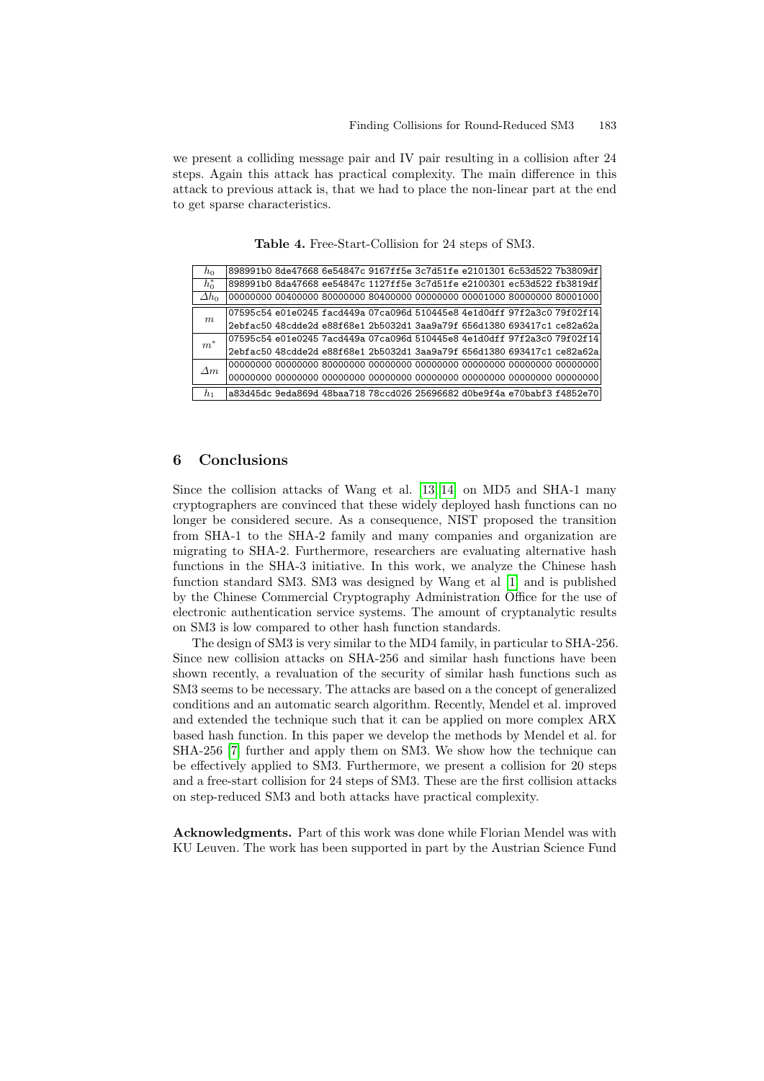we present a colliding message pair and IV pair resulting in a collision after 24 steps. Again this attack has practical complexity. The main difference in this attack to previous attack is, that we had to place the non-linear part at the end to get sparse characteristics.

Table 4. Free-Start-Collision for 24 steps of SM3.  $\,h_{0}$   $\,$   $\,$   $\,$  898991b0 8de47668 6e54847c 9167ff5e 3c7d51fe e2101301 6c53d522 7b3809df

| ho              |  |  |  | 898991b0 8de47668 6e54847c 9167ff5e 3c7d51fe e2101301 6c53d522 7b3809df |
|-----------------|--|--|--|-------------------------------------------------------------------------|
| $h_0^*$         |  |  |  | 898991b0 8da47668 ee54847c 1127ff5e 3c7d51fe e2100301 ec53d522 fb3819df |
| $\varDelta h_0$ |  |  |  |                                                                         |
| m               |  |  |  | 07595c54 e01e0245 facd449a 07ca096d 510445e8 4e1d0dff 97f2a3c0 79f02f14 |
|                 |  |  |  | 2ebfac50 48cdde2d e88f68e1 2b5032d1 3aa9a79f 656d1380 693417c1 ce82a62a |
| $m^*$           |  |  |  | 07595c54 e01e0245 7acd449a 07ca096d 510445e8 4e1d0dff 97f2a3c0 79f02f14 |
|                 |  |  |  | 2ebfac50 48cdde2d e88f68e1 2b5032d1 3aa9a79f 656d1380 693417c1 ce82a62a |
|                 |  |  |  |                                                                         |
| $\Delta m$      |  |  |  |                                                                         |
| $h_1$           |  |  |  | a83d45dc 9eda869d 48baa718 78ccd026 25696682 d0be9f4a e70babf3 f4852e70 |

## <span id="page-9-0"></span>6 Conclusions

Since the collision attacks of Wang e[t a](#page-10-2)l. [13, 14] on MD5 and SHA-1 many cryptographers are convinced that these widely deployed hash functions can no longer be considered secure. As a consequence, NIST proposed the transition from SHA-1 to the SHA-2 family and many companies and organization are migrating to SHA-2. Furthermore, researchers are evaluating alternative hash functions in the SHA-3 initiative. In this work, we analyze the Chinese hash function standard SM3. SM3 was designed by Wang et al [1] and is published by the Chinese Commercial Cryptography Administration Office for the use of electronic authentication service systems. The amount of cryptanalytic results on SM3 is low compared to other hash function standards.

The design of SM3 is very similar to the MD4 family, in particular to SHA-256. Since new collision attacks on SHA-256 and similar hash functions have been shown recently, a revaluation of the security of similar hash functions such as SM3 seems to be necessary. The attacks are based on a the concept of generalized conditions and an automatic search algorithm. Recently, Mendel et al. improved and extended the technique such that it can be applied on more complex ARX based hash function. In this paper we develop the methods by Mendel et al. for SHA-256 [7] further and apply them on SM3. We show how the technique can be effectively applied to SM3. Furthermore, we present a collision for 20 steps and a free-start collision for 24 steps of SM3. These are the first collision attacks on step-reduced SM3 and both attacks have practical complexity.

Acknowledgments. Part of this work was done while Florian Mendel was with KU Leuven. The work has been supported in part by the Austrian Science Fund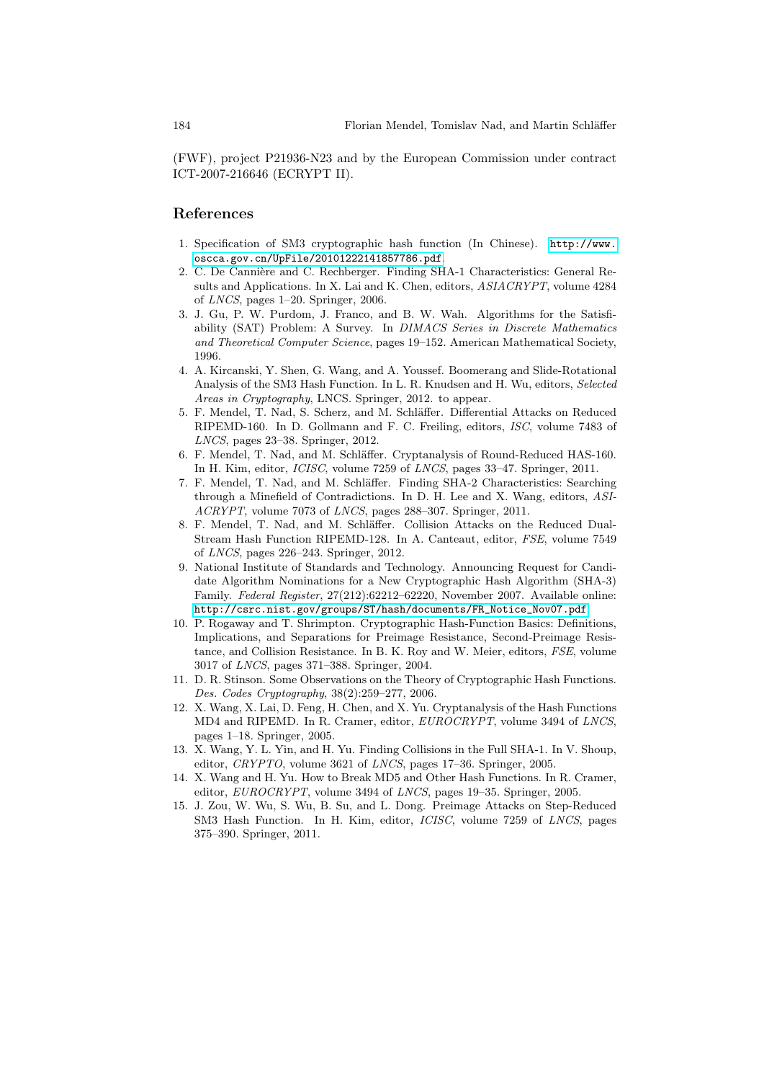<span id="page-10-4"></span><span id="page-10-2"></span>(FWF), project P21936-N23 and by the Euro[pean Commi](http://www.oscca.gov.cn/UpFile/20101222141857786.pdf)ssion under contract [ICT-2007-216646 \(ECRYPT](http://www.oscca.gov.cn/UpFile/20101222141857786.pdf) II).

## References

- 1. Specification of SM3 cryptographic hash function (In Chinese). http://www. oscca.gov.cn/UpFile/20101222141857786.pdf.
- <span id="page-10-3"></span>2. C. De Cannière and C. Rechberger. Finding SHA-1 Characteristics: General Results and Applications. In X. Lai and K. Chen, editors, ASIACRYPT, volume 4284 of LNCS, pages 1–20. Springer, 2006.
- <span id="page-10-5"></span>3. J. Gu, P. W. Purdom, J. Franco, and B. W. Wah. Algorithms for the Satisfiability (SAT) Problem: A Survey. In DIMACS Series in Discrete Mathematics and Theoretical Computer Science, pages 19–152. American Mathematical Society, 1996.
- 4. A. Kircanski, Y. Shen, G. Wang, and A. Youssef. Boomerang and Slide-Rotational Analysis of the SM3 Hash Function. In L. R. Knudsen and H. Wu, editors, Selected Areas in Cryptography, LNCS. Springer, 2012. to appear.
- <span id="page-10-7"></span>5. F. Mendel, T. Nad, S. Scherz, and M. Schläffer. Differential Attacks on Reduced RIPEMD-160. In D. Gollmann and F. C. Freiling, editors, ISC, volume 7483 of LNCS, pages 23–38. Springer, 2012.
- <span id="page-10-6"></span>6. F. Mendel, T. Nad, and M. Schläffer. Cryptanalysis of Round-Reduced HAS-160. In H. Kim, editor, ICISC, volume 7259 of LNCS, pages 33–47. Springer, 2011.
- <span id="page-10-1"></span>7. F. Mendel, T. Nad, and M. Schläffer. Finding SHA-2 Characteristics: Searching through a Minefield of Contradictions. In D. H. Lee and X. Wang, editors, ASI-ACRYPT, volume 7073 of LNCS, pages 288–307. Springer, 2011.
- 8. F. Mendel, T. Nad, and M. Schläffer. Collision Attacks on the Reduced Dual-Stream Hash Function RIPEMD-128. In A. Canteaut, editor, FSE, volume 7549 of LNCS, pages 226–243. Springer, 2012.
- 9. National Institute of Standards and Technology. Announcing Request for Candidate Algorithm Nominations for a New Cryptographic Hash Algorithm (SHA-3) Family. Federal Register, 27(212):62212–62220, November 2007. Available online: http://csrc.nist.gov/groups/ST/hash/documents/FR\_Notice\_Nov07.pdf.
- <span id="page-10-8"></span>10. P. Rogaway and T. Shrimpton. Cryptographic Hash-Function Basics: Definitions, Implications, and Separations for Preimage Resistance, Second-Preimage Resistance, and Collision Resistance. In B. K. Roy and W. Meier, editors, FSE, volume 3017 of LNCS, pages 371–388. Springer, 2004.
- <span id="page-10-9"></span><span id="page-10-0"></span>11. D. R. Stinson. Some Observations on the Theory of Cryptographic Hash Functions. Des. Codes Cryptography, 38(2):259–277, 2006.
- 12. X. Wang, X. Lai, D. Feng, H. Chen, and X. Yu. Cryptanalysis of the Hash Functions MD4 and RIPEMD. In R. Cramer, editor, EUROCRYPT, volume 3494 of LNCS, pages 1–18. Springer, 2005.
- 13. X. Wang, Y. L. Yin, and H. Yu. Finding Collisions in the Full SHA-1. In V. Shoup, editor, CRYPTO, volume 3621 of LNCS, pages 17–36. Springer, 2005.
- 14. X. Wang and H. Yu. How to Break MD5 and Other Hash Functions. In R. Cramer, editor, EUROCRYPT, volume 3494 of LNCS, pages 19–35. Springer, 2005.
- 15. J. Zou, W. Wu, S. Wu, B. Su, and L. Dong. Preimage Attacks on Step-Reduced SM3 Hash Function. In H. Kim, editor, ICISC, volume 7259 of LNCS, pages 375–390. Springer, 2011.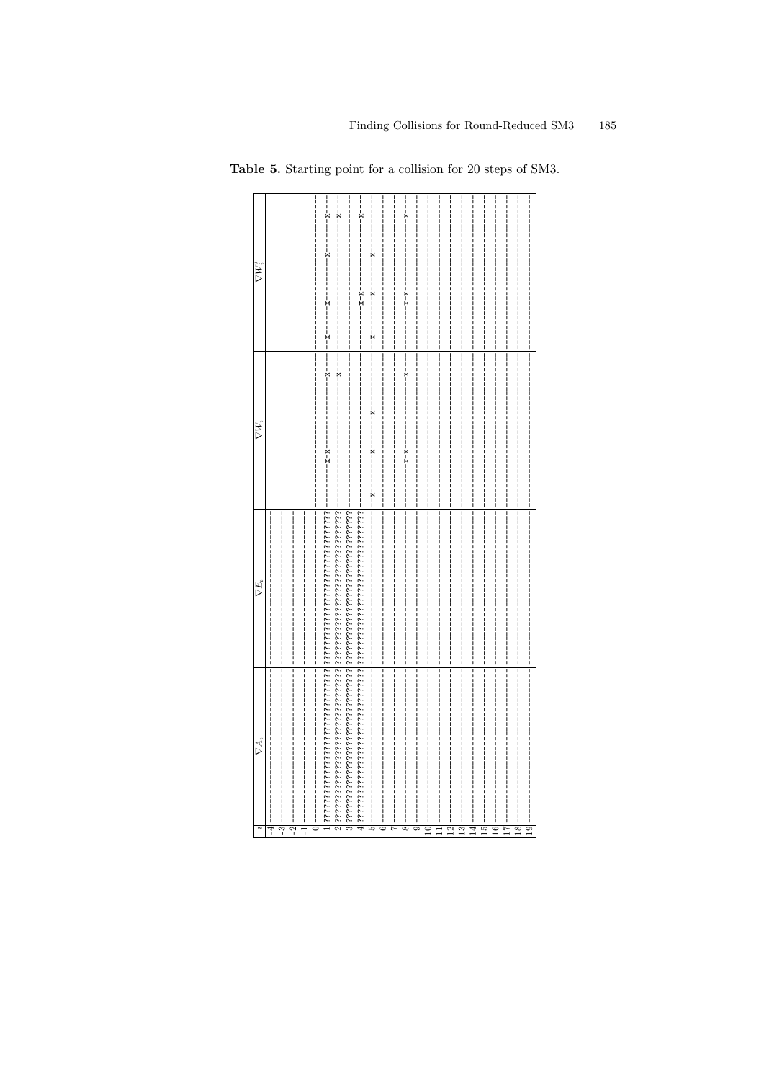<span id="page-11-0"></span>

| $\nabla W_i'$ |   |     | ŗ<br>×<br>í |   |  |   |
|---------------|---|-----|-------------|---|--|---|
| $\nabla W_i$  |   | X-X |             |   |  |   |
| $\nabla E_i$  |   |     |             |   |  |   |
| $\nabla A_i$  | ೡ |     |             | Ç |  | œ |

Table 5. Starting point for a collision for 20 steps of SM3.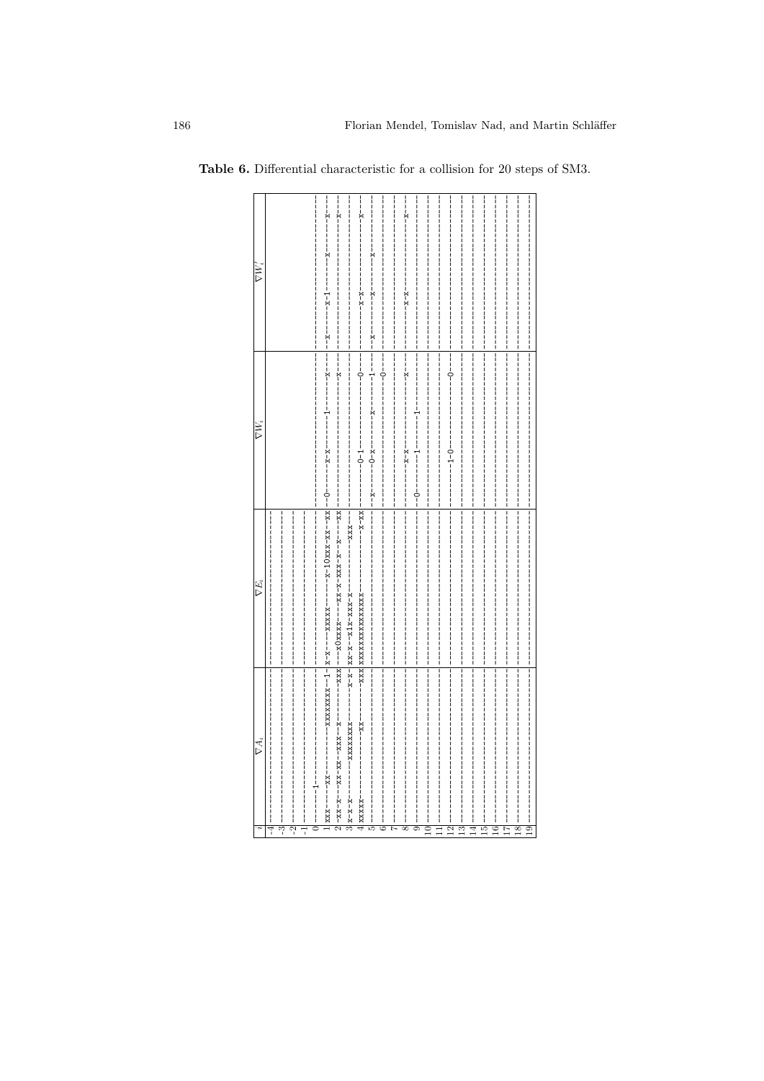|                    | $\nabla W_i$ | $\nabla W'$         |
|--------------------|--------------|---------------------|
|                    |              |                     |
|                    |              |                     |
|                    |              |                     |
|                    |              | <br> <br> <br>      |
|                    |              |                     |
|                    |              |                     |
|                    |              | <br> <br> <br>      |
|                    |              |                     |
| Ĭ                  |              | <br> <br> <br>      |
|                    |              | <br> <br> <br>      |
|                    |              |                     |
|                    |              |                     |
|                    |              | <br> <br> <br>      |
|                    |              | <br> <br> <br> <br> |
|                    |              |                     |
|                    |              |                     |
|                    |              |                     |
|                    |              |                     |
|                    |              | <br> <br> <br>      |
| <br>          <br> |              |                     |

Table 6. Differential characteristic for a collision for 20 steps of SM3.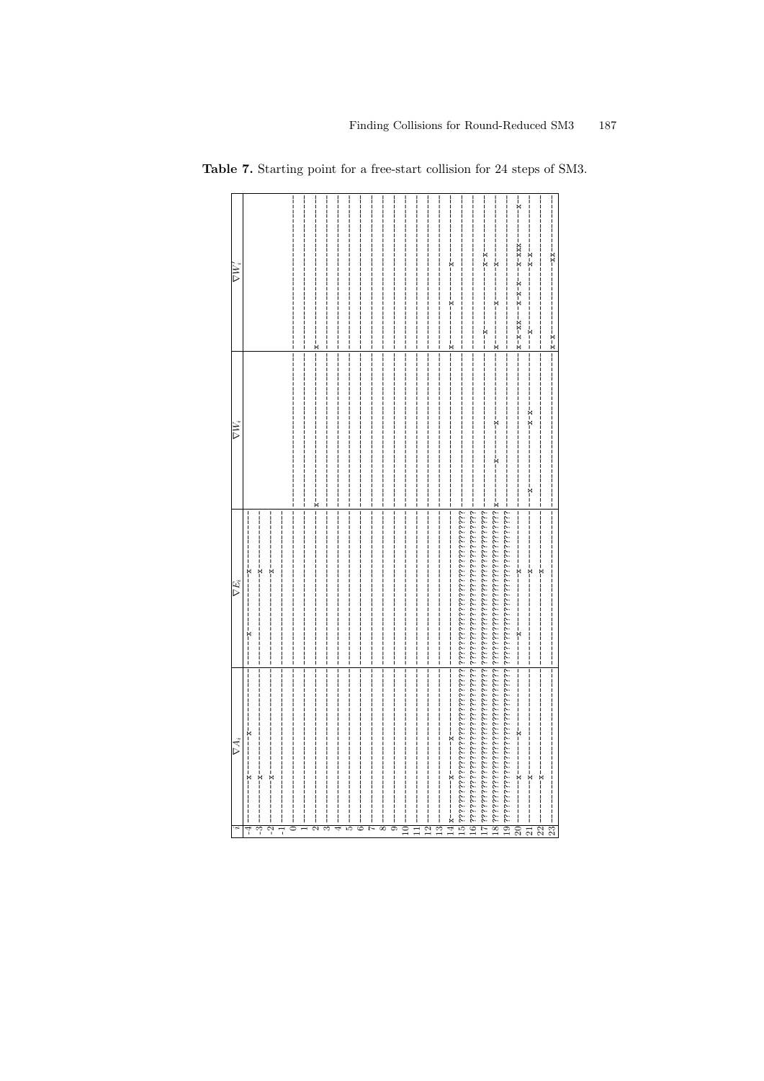<span id="page-13-0"></span>

| $\nabla W_i'$ |                                                      |  |                     |   | $-x-x--$        | $-1$<br>$x - x - x - x - x - x - x - x - x - x - x - x$<br>---------<br>------- | $x-x---$                            |
|---------------|------------------------------------------------------|--|---------------------|---|-----------------|---------------------------------------------------------------------------------|-------------------------------------|
| $\nabla W_i$  |                                                      |  |                     |   |                 | --------<br>$-1$ $-1$                                                           |                                     |
| $\nabla E_i$  | --------<br> <br> <br> <br>א<br> -<br> <br>$-1$ $-1$ |  |                     |   |                 | --------<br>א<br>ו                                                              | ř                                   |
| $\nabla A_i$  | $-1$<br>ř<br>لى<br>ကု<br>7                           |  | $\overline{c}$<br>≘ | ≌ | $\overline{11}$ | י<br>י<br>$\boldsymbol{\mathcal{Z}}$<br>$\overline{21}$                         | י<br>י<br>$\overline{2}$<br>$^{23}$ |

Table 7. Starting point for a free-start collision for 24 steps of SM3.